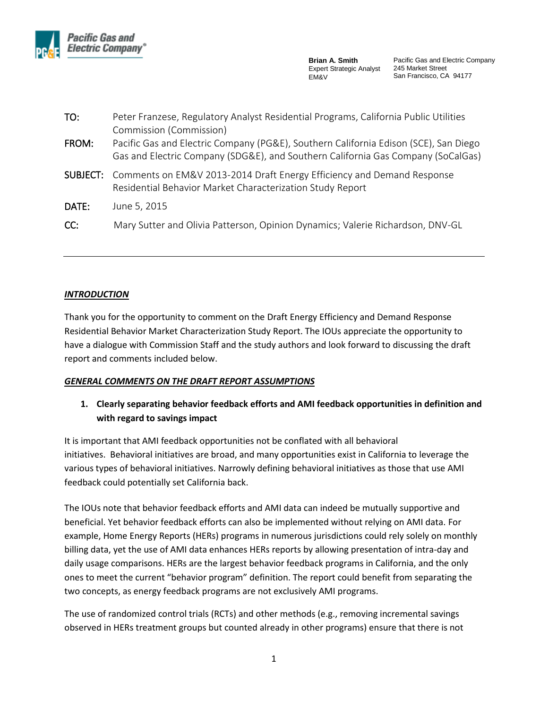

Pacific Gas and Electric Company 245 Market Street San Francisco, CA 94177

| TO:   | Peter Franzese, Regulatory Analyst Residential Programs, California Public Utilities                                                                                                                |
|-------|-----------------------------------------------------------------------------------------------------------------------------------------------------------------------------------------------------|
| FROM: | Commission (Commission)<br>Pacific Gas and Electric Company (PG&E), Southern California Edison (SCE), San Diego<br>Gas and Electric Company (SDG&E), and Southern California Gas Company (SoCalGas) |
|       | <b>SUBJECT:</b> Comments on EM&V 2013-2014 Draft Energy Efficiency and Demand Response<br>Residential Behavior Market Characterization Study Report                                                 |
| DATE: | June 5, 2015                                                                                                                                                                                        |
| CC:   | Mary Sutter and Olivia Patterson, Opinion Dynamics; Valerie Richardson, DNV-GL                                                                                                                      |

#### *INTRODUCTION*

Thank you for the opportunity to comment on the Draft Energy Efficiency and Demand Response Residential Behavior Market Characterization Study Report. The IOUs appreciate the opportunity to have a dialogue with Commission Staff and the study authors and look forward to discussing the draft report and comments included below.

#### *GENERAL COMMENTS ON THE DRAFT REPORT ASSUMPTIONS*

# **1. Clearly separating behavior feedback efforts and AMI feedback opportunities in definition and with regard to savings impact**

It is important that AMI feedback opportunities not be conflated with all behavioral initiatives. Behavioral initiatives are broad, and many opportunities exist in California to leverage the various types of behavioral initiatives. Narrowly defining behavioral initiatives as those that use AMI feedback could potentially set California back.

The IOUs note that behavior feedback efforts and AMI data can indeed be mutually supportive and beneficial. Yet behavior feedback efforts can also be implemented without relying on AMI data. For example, Home Energy Reports (HERs) programs in numerous jurisdictions could rely solely on monthly billing data, yet the use of AMI data enhances HERs reports by allowing presentation of intra-day and daily usage comparisons. HERs are the largest behavior feedback programs in California, and the only ones to meet the current "behavior program" definition. The report could benefit from separating the two concepts, as energy feedback programs are not exclusively AMI programs.

The use of randomized control trials (RCTs) and other methods (e.g., removing incremental savings observed in HERs treatment groups but counted already in other programs) ensure that there is not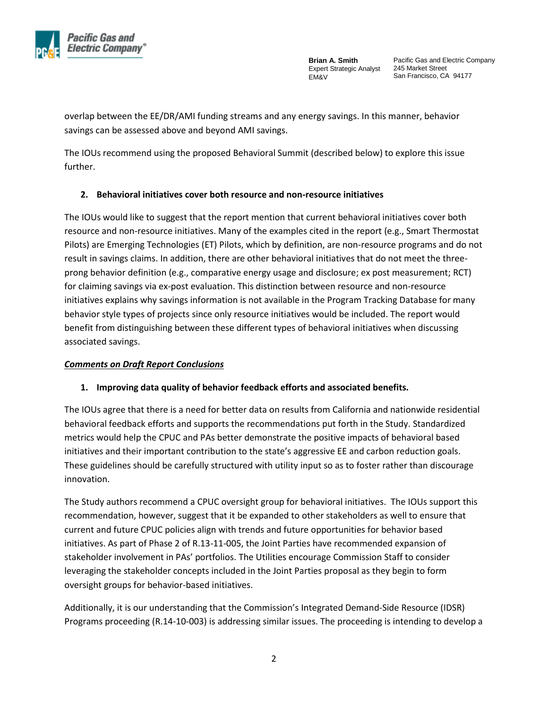

Pacific Gas and Electric Company 245 Market Street San Francisco, CA 94177

overlap between the EE/DR/AMI funding streams and any energy savings. In this manner, behavior savings can be assessed above and beyond AMI savings.

The IOUs recommend using the proposed Behavioral Summit (described below) to explore this issue further.

## **2. Behavioral initiatives cover both resource and non-resource initiatives**

The IOUs would like to suggest that the report mention that current behavioral initiatives cover both resource and non-resource initiatives. Many of the examples cited in the report (e.g., Smart Thermostat Pilots) are Emerging Technologies (ET) Pilots, which by definition, are non-resource programs and do not result in savings claims. In addition, there are other behavioral initiatives that do not meet the threeprong behavior definition (e.g., comparative energy usage and disclosure; ex post measurement; RCT) for claiming savings via ex-post evaluation. This distinction between resource and non-resource initiatives explains why savings information is not available in the Program Tracking Database for many behavior style types of projects since only resource initiatives would be included. The report would benefit from distinguishing between these different types of behavioral initiatives when discussing associated savings.

### *Comments on Draft Report Conclusions*

### **1. Improving data quality of behavior feedback efforts and associated benefits.**

The IOUs agree that there is a need for better data on results from California and nationwide residential behavioral feedback efforts and supports the recommendations put forth in the Study. Standardized metrics would help the CPUC and PAs better demonstrate the positive impacts of behavioral based initiatives and their important contribution to the state's aggressive EE and carbon reduction goals. These guidelines should be carefully structured with utility input so as to foster rather than discourage innovation.

The Study authors recommend a CPUC oversight group for behavioral initiatives. The IOUs support this recommendation, however, suggest that it be expanded to other stakeholders as well to ensure that current and future CPUC policies align with trends and future opportunities for behavior based initiatives. As part of Phase 2 of R.13-11-005, the Joint Parties have recommended expansion of stakeholder involvement in PAs' portfolios. The Utilities encourage Commission Staff to consider leveraging the stakeholder concepts included in the Joint Parties proposal as they begin to form oversight groups for behavior-based initiatives.

Additionally, it is our understanding that the Commission's Integrated Demand-Side Resource (IDSR) Programs proceeding (R.14-10-003) is addressing similar issues. The proceeding is intending to develop a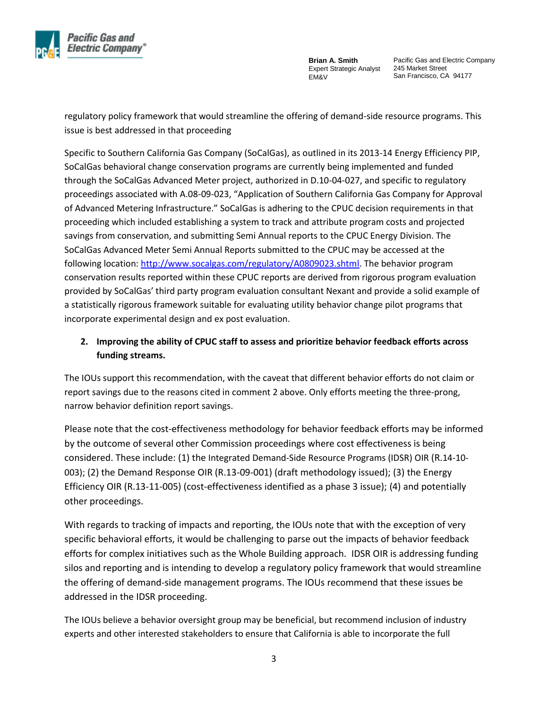

Pacific Gas and Electric Company 245 Market Street San Francisco, CA 94177

regulatory policy framework that would streamline the offering of demand-side resource programs. This issue is best addressed in that proceeding

Specific to Southern California Gas Company (SoCalGas), as outlined in its 2013-14 Energy Efficiency PIP, SoCalGas behavioral change conservation programs are currently being implemented and funded through the SoCalGas Advanced Meter project, authorized in D.10-04-027, and specific to regulatory proceedings associated with A.08-09-023, "Application of Southern California Gas Company for Approval of Advanced Metering Infrastructure." SoCalGas is adhering to the CPUC decision requirements in that proceeding which included establishing a system to track and attribute program costs and projected savings from conservation, and submitting Semi Annual reports to the CPUC Energy Division. The SoCalGas Advanced Meter Semi Annual Reports submitted to the CPUC may be accessed at the following location: [http://www.socalgas.com/regulatory/A0809023.shtml.](https://urldefense.proofpoint.com/v2/url?u=http-3A__www.socalgas.com_regulatory_A0809023.shtml&d=AwMFAw&c=hLS_V_MyRCwXDjNCFvC1XhVzdhW2dOtrP9xQj43rEYI&r=mA_IbFTRfCxL7D2M-d9nxA&m=g1TV-Sj9gB5SPCSTA0F2BPh7jKEyz_3r4dfwIouSYvQ&s=w1OUqgNiNRXnlOl8-BQpQBz27bMdbAc7seM4KJeXQ-U&e=) The behavior program conservation results reported within these CPUC reports are derived from rigorous program evaluation provided by SoCalGas' third party program evaluation consultant Nexant and provide a solid example of a statistically rigorous framework suitable for evaluating utility behavior change pilot programs that incorporate experimental design and ex post evaluation.

# **2. Improving the ability of CPUC staff to assess and prioritize behavior feedback efforts across funding streams.**

The IOUs support this recommendation, with the caveat that different behavior efforts do not claim or report savings due to the reasons cited in comment 2 above. Only efforts meeting the three-prong, narrow behavior definition report savings.

Please note that the cost-effectiveness methodology for behavior feedback efforts may be informed by the outcome of several other Commission proceedings where cost effectiveness is being considered. These include: (1) the Integrated Demand-Side Resource Programs (IDSR) OIR (R.14-10- 003); (2) the Demand Response OIR (R.13-09-001) (draft methodology issued); (3) the Energy Efficiency OIR (R.13-11-005) (cost-effectiveness identified as a phase 3 issue); (4) and potentially other proceedings.

With regards to tracking of impacts and reporting, the IOUs note that with the exception of very specific behavioral efforts, it would be challenging to parse out the impacts of behavior feedback efforts for complex initiatives such as the Whole Building approach. IDSR OIR is addressing funding silos and reporting and is intending to develop a regulatory policy framework that would streamline the offering of demand-side management programs. The IOUs recommend that these issues be addressed in the IDSR proceeding.

The IOUs believe a behavior oversight group may be beneficial, but recommend inclusion of industry experts and other interested stakeholders to ensure that California is able to incorporate the full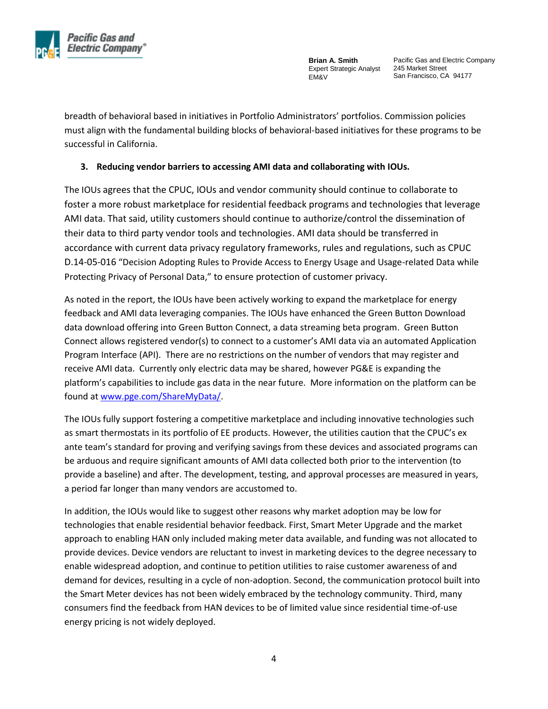

Pacific Gas and Electric Company 245 Market Street San Francisco, CA 94177

breadth of behavioral based in initiatives in Portfolio Administrators' portfolios. Commission policies must align with the fundamental building blocks of behavioral-based initiatives for these programs to be successful in California.

#### **3. Reducing vendor barriers to accessing AMI data and collaborating with IOUs.**

The IOUs agrees that the CPUC, IOUs and vendor community should continue to collaborate to foster a more robust marketplace for residential feedback programs and technologies that leverage AMI data. That said, utility customers should continue to authorize/control the dissemination of their data to third party vendor tools and technologies. AMI data should be transferred in accordance with current data privacy regulatory frameworks, rules and regulations, such as CPUC D.14-05-016 "Decision Adopting Rules to Provide Access to Energy Usage and Usage-related Data while Protecting Privacy of Personal Data," to ensure protection of customer privacy.

As noted in the report, the IOUs have been actively working to expand the marketplace for energy feedback and AMI data leveraging companies. The IOUs have enhanced the Green Button Download data download offering into Green Button Connect, a data streaming beta program. Green Button Connect allows registered vendor(s) to connect to a customer's AMI data via an automated Application Program Interface (API). There are no restrictions on the number of vendors that may register and receive AMI data. Currently only electric data may be shared, however PG&E is expanding the platform's capabilities to include gas data in the near future. More information on the platform can be found a[t www.pge.com/ShareMyData/.](http://www.pge.com/ShareMyData/)

The IOUs fully support fostering a competitive marketplace and including innovative technologies such as smart thermostats in its portfolio of EE products. However, the utilities caution that the CPUC's ex ante team's standard for proving and verifying savings from these devices and associated programs can be arduous and require significant amounts of AMI data collected both prior to the intervention (to provide a baseline) and after. The development, testing, and approval processes are measured in years, a period far longer than many vendors are accustomed to.

In addition, the IOUs would like to suggest other reasons why market adoption may be low for technologies that enable residential behavior feedback. First, Smart Meter Upgrade and the market approach to enabling HAN only included making meter data available, and funding was not allocated to provide devices. Device vendors are reluctant to invest in marketing devices to the degree necessary to enable widespread adoption, and continue to petition utilities to raise customer awareness of and demand for devices, resulting in a cycle of non-adoption. Second, the communication protocol built into the Smart Meter devices has not been widely embraced by the technology community. Third, many consumers find the feedback from HAN devices to be of limited value since residential time-of-use energy pricing is not widely deployed.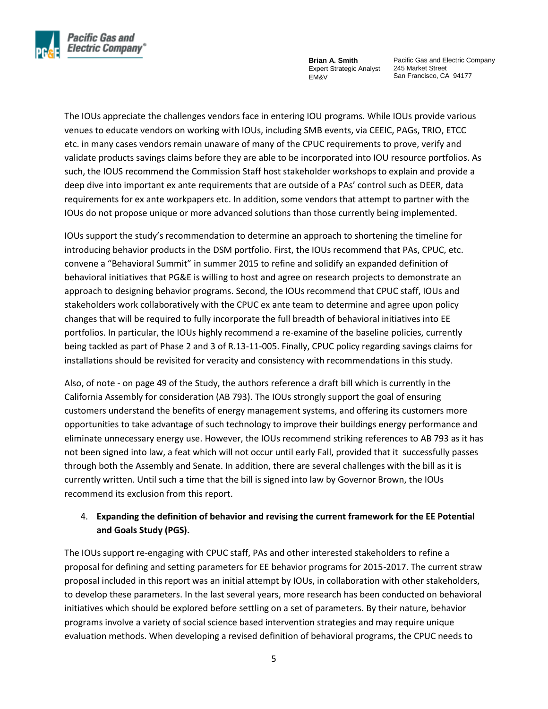

Pacific Gas and Electric Company 245 Market Street San Francisco, CA 94177

The IOUs appreciate the challenges vendors face in entering IOU programs. While IOUs provide various venues to educate vendors on working with IOUs, including SMB events, via CEEIC, PAGs, TRIO, ETCC etc. in many cases vendors remain unaware of many of the CPUC requirements to prove, verify and validate products savings claims before they are able to be incorporated into IOU resource portfolios. As such, the IOUS recommend the Commission Staff host stakeholder workshops to explain and provide a deep dive into important ex ante requirements that are outside of a PAs' control such as DEER, data requirements for ex ante workpapers etc. In addition, some vendors that attempt to partner with the IOUs do not propose unique or more advanced solutions than those currently being implemented.

IOUs support the study's recommendation to determine an approach to shortening the timeline for introducing behavior products in the DSM portfolio. First, the IOUs recommend that PAs, CPUC, etc. convene a "Behavioral Summit" in summer 2015 to refine and solidify an expanded definition of behavioral initiatives that PG&E is willing to host and agree on research projects to demonstrate an approach to designing behavior programs. Second, the IOUs recommend that CPUC staff, IOUs and stakeholders work collaboratively with the CPUC ex ante team to determine and agree upon policy changes that will be required to fully incorporate the full breadth of behavioral initiatives into EE portfolios. In particular, the IOUs highly recommend a re-examine of the baseline policies, currently being tackled as part of Phase 2 and 3 of R.13-11-005. Finally, CPUC policy regarding savings claims for installations should be revisited for veracity and consistency with recommendations in this study.

Also, of note - on page 49 of the Study, the authors reference a draft bill which is currently in the California Assembly for consideration (AB 793). The IOUs strongly support the goal of ensuring customers understand the benefits of energy management systems, and offering its customers more opportunities to take advantage of such technology to improve their buildings energy performance and eliminate unnecessary energy use. However, the IOUs recommend striking references to AB 793 as it has not been signed into law, a feat which will not occur until early Fall, provided that it successfully passes through both the Assembly and Senate. In addition, there are several challenges with the bill as it is currently written. Until such a time that the bill is signed into law by Governor Brown, the IOUs recommend its exclusion from this report.

## 4. **Expanding the definition of behavior and revising the current framework for the EE Potential and Goals Study (PGS).**

The IOUs support re-engaging with CPUC staff, PAs and other interested stakeholders to refine a proposal for defining and setting parameters for EE behavior programs for 2015-2017. The current straw proposal included in this report was an initial attempt by IOUs, in collaboration with other stakeholders, to develop these parameters. In the last several years, more research has been conducted on behavioral initiatives which should be explored before settling on a set of parameters. By their nature, behavior programs involve a variety of social science based intervention strategies and may require unique evaluation methods. When developing a revised definition of behavioral programs, the CPUC needs to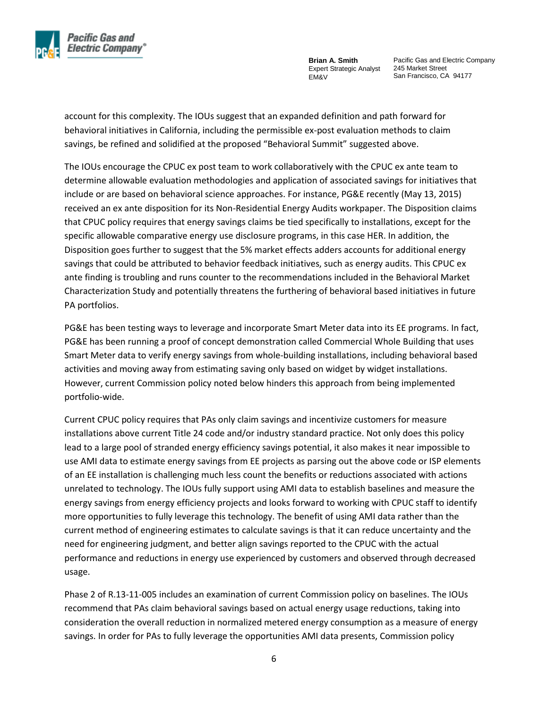

Pacific Gas and Electric Company 245 Market Street San Francisco, CA 94177

account for this complexity. The IOUs suggest that an expanded definition and path forward for behavioral initiatives in California, including the permissible ex-post evaluation methods to claim savings, be refined and solidified at the proposed "Behavioral Summit" suggested above.

The IOUs encourage the CPUC ex post team to work collaboratively with the CPUC ex ante team to determine allowable evaluation methodologies and application of associated savings for initiatives that include or are based on behavioral science approaches. For instance, PG&E recently (May 13, 2015) received an ex ante disposition for its Non-Residential Energy Audits workpaper. The Disposition claims that CPUC policy requires that energy savings claims be tied specifically to installations, except for the specific allowable comparative energy use disclosure programs, in this case HER. In addition, the Disposition goes further to suggest that the 5% market effects adders accounts for additional energy savings that could be attributed to behavior feedback initiatives, such as energy audits. This CPUC ex ante finding is troubling and runs counter to the recommendations included in the Behavioral Market Characterization Study and potentially threatens the furthering of behavioral based initiatives in future PA portfolios.

PG&E has been testing ways to leverage and incorporate Smart Meter data into its EE programs. In fact, PG&E has been running a proof of concept demonstration called Commercial Whole Building that uses Smart Meter data to verify energy savings from whole-building installations, including behavioral based activities and moving away from estimating saving only based on widget by widget installations. However, current Commission policy noted below hinders this approach from being implemented portfolio-wide.

Current CPUC policy requires that PAs only claim savings and incentivize customers for measure installations above current Title 24 code and/or industry standard practice. Not only does this policy lead to a large pool of stranded energy efficiency savings potential, it also makes it near impossible to use AMI data to estimate energy savings from EE projects as parsing out the above code or ISP elements of an EE installation is challenging much less count the benefits or reductions associated with actions unrelated to technology. The IOUs fully support using AMI data to establish baselines and measure the energy savings from energy efficiency projects and looks forward to working with CPUC staff to identify more opportunities to fully leverage this technology. The benefit of using AMI data rather than the current method of engineering estimates to calculate savings is that it can reduce uncertainty and the need for engineering judgment, and better align savings reported to the CPUC with the actual performance and reductions in energy use experienced by customers and observed through decreased usage.

Phase 2 of R.13-11-005 includes an examination of current Commission policy on baselines. The IOUs recommend that PAs claim behavioral savings based on actual energy usage reductions, taking into consideration the overall reduction in normalized metered energy consumption as a measure of energy savings. In order for PAs to fully leverage the opportunities AMI data presents, Commission policy